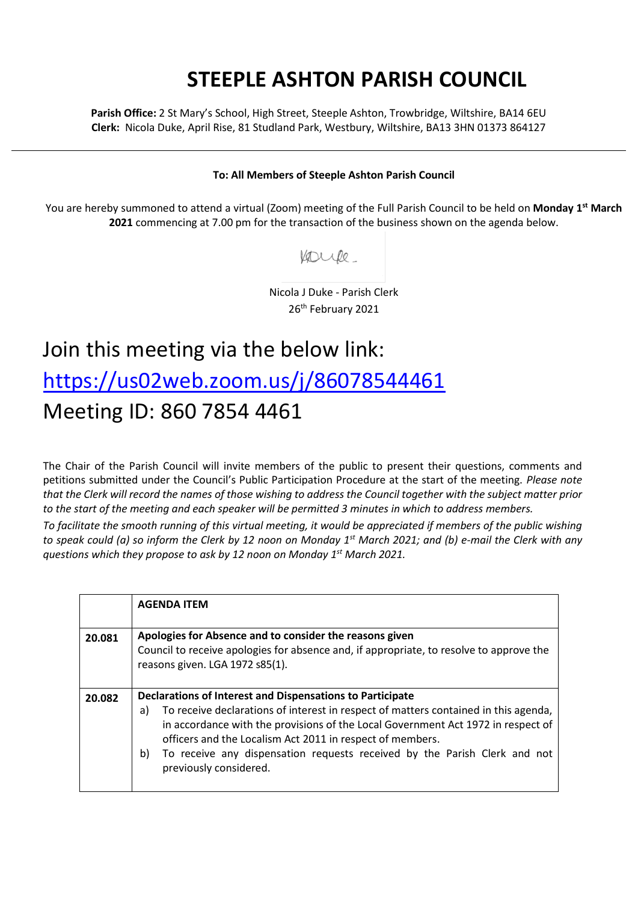## **STEEPLE ASHTON PARISH COUNCIL**

**Parish Office:** 2 St Mary's School, High Street, Steeple Ashton, Trowbridge, Wiltshire, BA14 6EU **Clerk:** Nicola Duke, April Rise, 81 Studland Park, Westbury, Wiltshire, BA13 3HN 01373 864127

## **To: All Members of Steeple Ashton Parish Council**

You are hereby summoned to attend a virtual (Zoom) meeting of the Full Parish Council to be held on **Monday 1 st March 2021** commencing at 7.00 pm for the transaction of the business shown on the agenda below.

Voule

Nicola J Duke - Parish Clerk 26<sup>th</sup> February 2021

## Join this meeting via the below link: <https://us02web.zoom.us/j/86078544461> Meeting ID: 860 7854 4461

The Chair of the Parish Council will invite members of the public to present their questions, comments and petitions submitted under the Council's Public Participation Procedure at the start of the meeting. *Please note that the Clerk will record the names of those wishing to address the Council together with the subject matter prior to the start of the meeting and each speaker will be permitted 3 minutes in which to address members.*

*To facilitate the smooth running of this virtual meeting, it would be appreciated if members of the public wishing to speak could (a) so inform the Clerk by 12 noon on Monday 1 st March 2021; and (b) e-mail the Clerk with any questions which they propose to ask by 12 noon on Monday 1 st March 2021.*

|        | <b>AGENDA ITEM</b>                                                                                                                                                                                                                                                                                                                                                                                                   |
|--------|----------------------------------------------------------------------------------------------------------------------------------------------------------------------------------------------------------------------------------------------------------------------------------------------------------------------------------------------------------------------------------------------------------------------|
| 20.081 | Apologies for Absence and to consider the reasons given<br>Council to receive apologies for absence and, if appropriate, to resolve to approve the<br>reasons given. LGA 1972 s85(1).                                                                                                                                                                                                                                |
| 20.082 | Declarations of Interest and Dispensations to Participate<br>To receive declarations of interest in respect of matters contained in this agenda,<br>a)<br>in accordance with the provisions of the Local Government Act 1972 in respect of<br>officers and the Localism Act 2011 in respect of members.<br>To receive any dispensation requests received by the Parish Clerk and not<br>b)<br>previously considered. |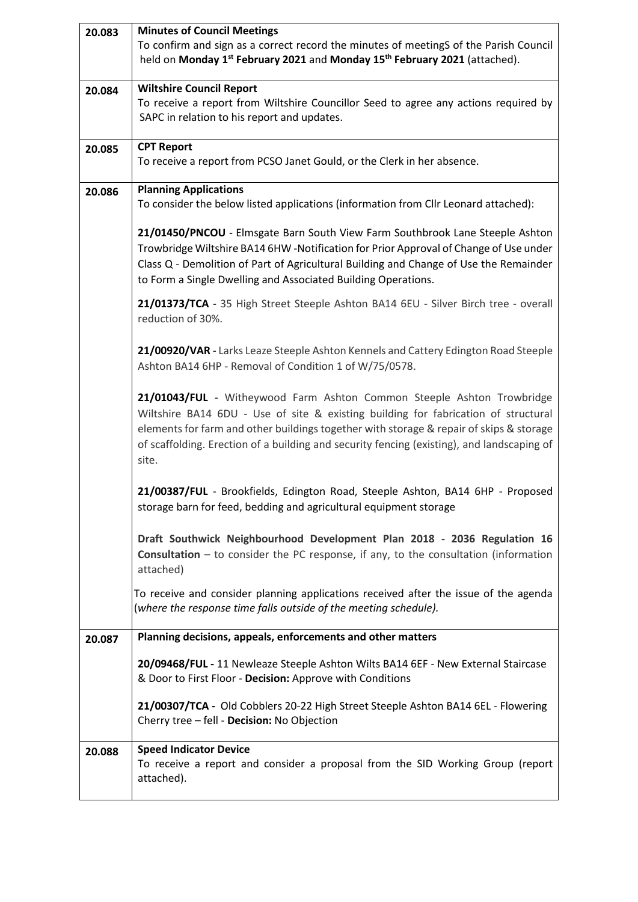| 20.083 | <b>Minutes of Council Meetings</b>                                                                                                                                                                                                                                                                                                                             |
|--------|----------------------------------------------------------------------------------------------------------------------------------------------------------------------------------------------------------------------------------------------------------------------------------------------------------------------------------------------------------------|
|        | To confirm and sign as a correct record the minutes of meetingS of the Parish Council<br>held on Monday 1 <sup>st</sup> February 2021 and Monday 15 <sup>th</sup> February 2021 (attached).                                                                                                                                                                    |
| 20.084 | <b>Wiltshire Council Report</b>                                                                                                                                                                                                                                                                                                                                |
|        | To receive a report from Wiltshire Councillor Seed to agree any actions required by                                                                                                                                                                                                                                                                            |
|        | SAPC in relation to his report and updates.                                                                                                                                                                                                                                                                                                                    |
| 20.085 | <b>CPT Report</b>                                                                                                                                                                                                                                                                                                                                              |
|        | To receive a report from PCSO Janet Gould, or the Clerk in her absence.                                                                                                                                                                                                                                                                                        |
| 20.086 | <b>Planning Applications</b>                                                                                                                                                                                                                                                                                                                                   |
|        | To consider the below listed applications (information from Cllr Leonard attached):                                                                                                                                                                                                                                                                            |
|        | 21/01450/PNCOU - Elmsgate Barn South View Farm Southbrook Lane Steeple Ashton<br>Trowbridge Wiltshire BA14 6HW -Notification for Prior Approval of Change of Use under<br>Class Q - Demolition of Part of Agricultural Building and Change of Use the Remainder<br>to Form a Single Dwelling and Associated Building Operations.                               |
|        | 21/01373/TCA - 35 High Street Steeple Ashton BA14 6EU - Silver Birch tree - overall<br>reduction of 30%.                                                                                                                                                                                                                                                       |
|        | 21/00920/VAR - Larks Leaze Steeple Ashton Kennels and Cattery Edington Road Steeple<br>Ashton BA14 6HP - Removal of Condition 1 of W/75/0578.                                                                                                                                                                                                                  |
|        | 21/01043/FUL - Witheywood Farm Ashton Common Steeple Ashton Trowbridge<br>Wiltshire BA14 6DU - Use of site & existing building for fabrication of structural<br>elements for farm and other buildings together with storage & repair of skips & storage<br>of scaffolding. Erection of a building and security fencing (existing), and landscaping of<br>site. |
|        | 21/00387/FUL - Brookfields, Edington Road, Steeple Ashton, BA14 6HP - Proposed<br>storage barn for feed, bedding and agricultural equipment storage                                                                                                                                                                                                            |
|        | Draft Southwick Neighbourhood Development Plan 2018 - 2036 Regulation 16<br><b>Consultation</b> $-$ to consider the PC response, if any, to the consultation (information<br>attached)                                                                                                                                                                         |
|        | To receive and consider planning applications received after the issue of the agenda<br>(where the response time falls outside of the meeting schedule).                                                                                                                                                                                                       |
| 20.087 | Planning decisions, appeals, enforcements and other matters                                                                                                                                                                                                                                                                                                    |
|        | 20/09468/FUL - 11 Newleaze Steeple Ashton Wilts BA14 6EF - New External Staircase<br>& Door to First Floor - Decision: Approve with Conditions                                                                                                                                                                                                                 |
|        | 21/00307/TCA - Old Cobblers 20-22 High Street Steeple Ashton BA14 6EL - Flowering<br>Cherry tree - fell - Decision: No Objection                                                                                                                                                                                                                               |
| 20.088 | <b>Speed Indicator Device</b>                                                                                                                                                                                                                                                                                                                                  |
|        | To receive a report and consider a proposal from the SID Working Group (report<br>attached).                                                                                                                                                                                                                                                                   |